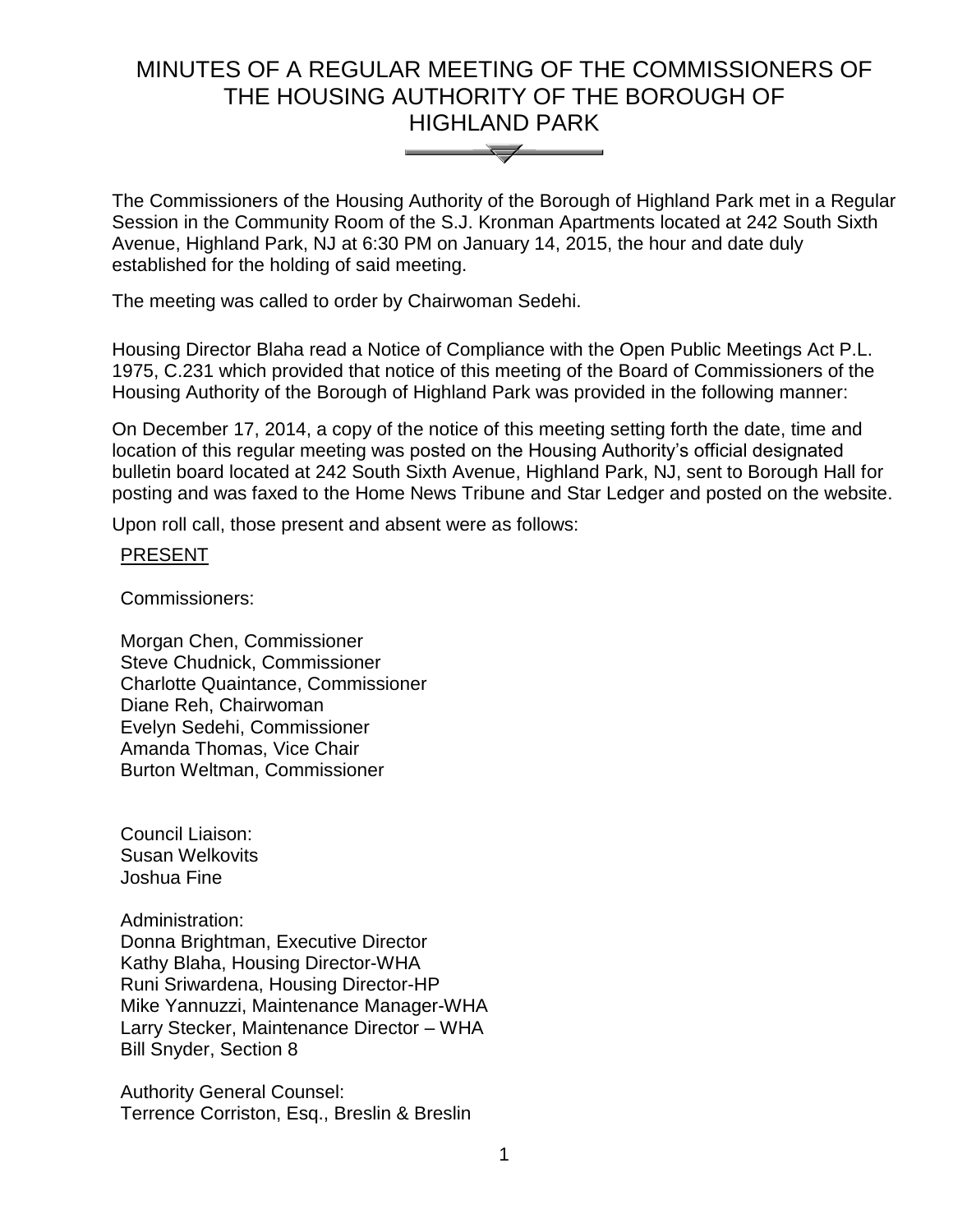# MINUTES OF A REGULAR MEETING OF THE COMMISSIONERS OF THE HOUSING AUTHORITY OF THE BOROUGH OF HIGHLAND PARK



The Commissioners of the Housing Authority of the Borough of Highland Park met in a Regular Session in the Community Room of the S.J. Kronman Apartments located at 242 South Sixth Avenue, Highland Park, NJ at 6:30 PM on January 14, 2015, the hour and date duly established for the holding of said meeting.

The meeting was called to order by Chairwoman Sedehi.

Housing Director Blaha read a Notice of Compliance with the Open Public Meetings Act P.L. 1975, C.231 which provided that notice of this meeting of the Board of Commissioners of the Housing Authority of the Borough of Highland Park was provided in the following manner:

On December 17, 2014, a copy of the notice of this meeting setting forth the date, time and location of this regular meeting was posted on the Housing Authority's official designated bulletin board located at 242 South Sixth Avenue, Highland Park, NJ, sent to Borough Hall for posting and was faxed to the Home News Tribune and Star Ledger and posted on the website.

Upon roll call, those present and absent were as follows:

## PRESENT

Commissioners:

Morgan Chen, Commissioner Steve Chudnick, Commissioner Charlotte Quaintance, Commissioner Diane Reh, Chairwoman Evelyn Sedehi, Commissioner Amanda Thomas, Vice Chair Burton Weltman, Commissioner

Council Liaison: Susan Welkovits Joshua Fine

Administration: Donna Brightman, Executive Director Kathy Blaha, Housing Director-WHA Runi Sriwardena, Housing Director-HP Mike Yannuzzi, Maintenance Manager-WHA Larry Stecker, Maintenance Director – WHA Bill Snyder, Section 8

Authority General Counsel: Terrence Corriston, Esq., Breslin & Breslin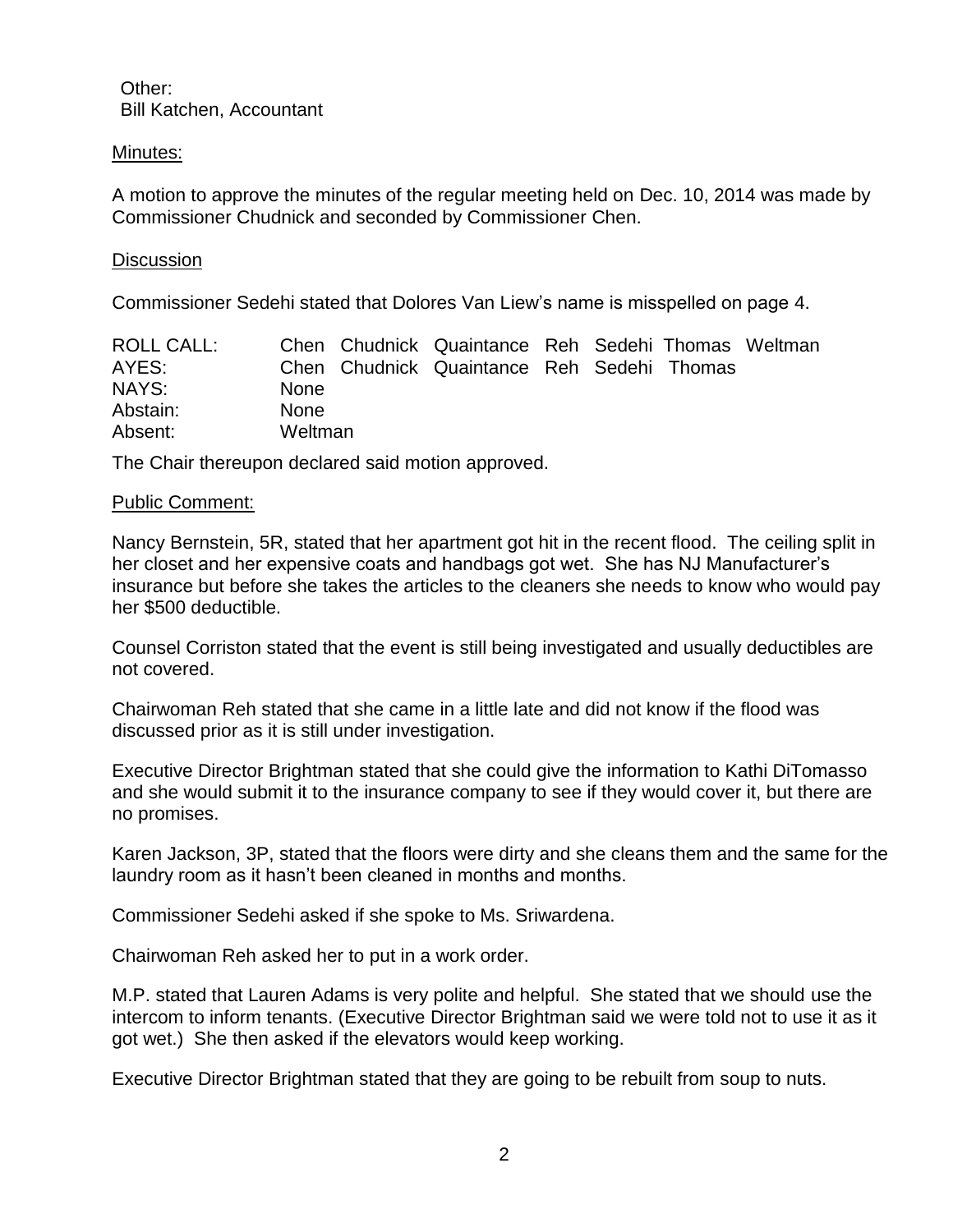Other: Bill Katchen, Accountant

## Minutes:

A motion to approve the minutes of the regular meeting held on Dec. 10, 2014 was made by Commissioner Chudnick and seconded by Commissioner Chen.

## **Discussion**

Commissioner Sedehi stated that Dolores Van Liew's name is misspelled on page 4.

| ROLL CALL: |             | Chen Chudnick Quaintance Reh Sedehi Thomas Weltman |  |  |
|------------|-------------|----------------------------------------------------|--|--|
| AYES:      |             | Chen Chudnick Quaintance Reh Sedehi Thomas         |  |  |
| NAYS:      | <b>None</b> |                                                    |  |  |
| Abstain:   | <b>None</b> |                                                    |  |  |
| Absent:    | Weltman     |                                                    |  |  |

The Chair thereupon declared said motion approved.

#### Public Comment:

Nancy Bernstein, 5R, stated that her apartment got hit in the recent flood. The ceiling split in her closet and her expensive coats and handbags got wet. She has NJ Manufacturer's insurance but before she takes the articles to the cleaners she needs to know who would pay her \$500 deductible.

Counsel Corriston stated that the event is still being investigated and usually deductibles are not covered.

Chairwoman Reh stated that she came in a little late and did not know if the flood was discussed prior as it is still under investigation.

Executive Director Brightman stated that she could give the information to Kathi DiTomasso and she would submit it to the insurance company to see if they would cover it, but there are no promises.

Karen Jackson, 3P, stated that the floors were dirty and she cleans them and the same for the laundry room as it hasn't been cleaned in months and months.

Commissioner Sedehi asked if she spoke to Ms. Sriwardena.

Chairwoman Reh asked her to put in a work order.

M.P. stated that Lauren Adams is very polite and helpful. She stated that we should use the intercom to inform tenants. (Executive Director Brightman said we were told not to use it as it got wet.) She then asked if the elevators would keep working.

Executive Director Brightman stated that they are going to be rebuilt from soup to nuts.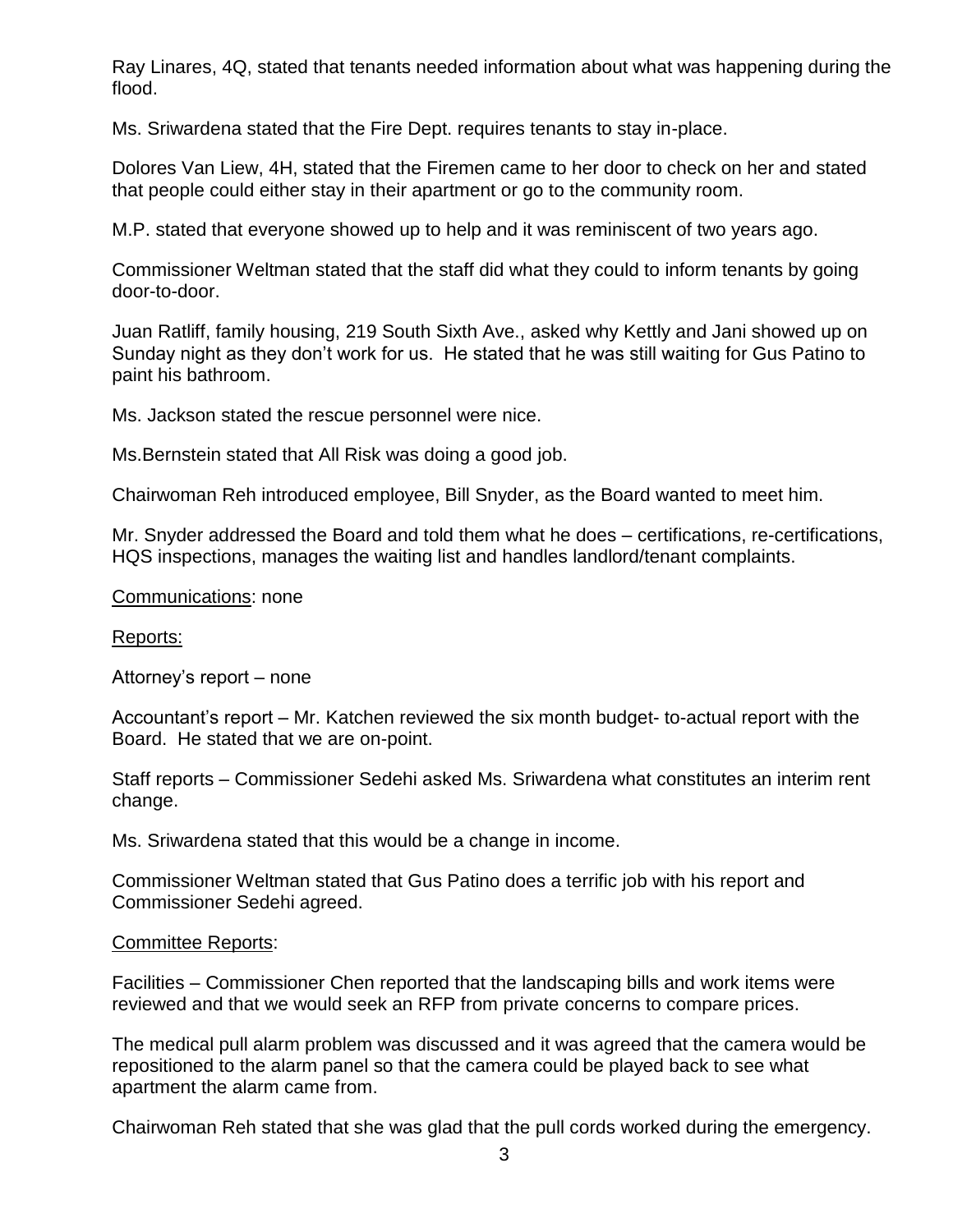Ray Linares, 4Q, stated that tenants needed information about what was happening during the flood.

Ms. Sriwardena stated that the Fire Dept. requires tenants to stay in-place.

Dolores Van Liew, 4H, stated that the Firemen came to her door to check on her and stated that people could either stay in their apartment or go to the community room.

M.P. stated that everyone showed up to help and it was reminiscent of two years ago.

Commissioner Weltman stated that the staff did what they could to inform tenants by going door-to-door.

Juan Ratliff, family housing, 219 South Sixth Ave., asked why Kettly and Jani showed up on Sunday night as they don't work for us. He stated that he was still waiting for Gus Patino to paint his bathroom.

Ms. Jackson stated the rescue personnel were nice.

Ms.Bernstein stated that All Risk was doing a good job.

Chairwoman Reh introduced employee, Bill Snyder, as the Board wanted to meet him.

Mr. Snyder addressed the Board and told them what he does – certifications, re-certifications, HQS inspections, manages the waiting list and handles landlord/tenant complaints.

#### Communications: none

#### Reports:

Attorney's report – none

Accountant's report – Mr. Katchen reviewed the six month budget- to-actual report with the Board. He stated that we are on-point.

Staff reports – Commissioner Sedehi asked Ms. Sriwardena what constitutes an interim rent change.

Ms. Sriwardena stated that this would be a change in income.

Commissioner Weltman stated that Gus Patino does a terrific job with his report and Commissioner Sedehi agreed.

#### Committee Reports:

Facilities – Commissioner Chen reported that the landscaping bills and work items were reviewed and that we would seek an RFP from private concerns to compare prices.

The medical pull alarm problem was discussed and it was agreed that the camera would be repositioned to the alarm panel so that the camera could be played back to see what apartment the alarm came from.

Chairwoman Reh stated that she was glad that the pull cords worked during the emergency.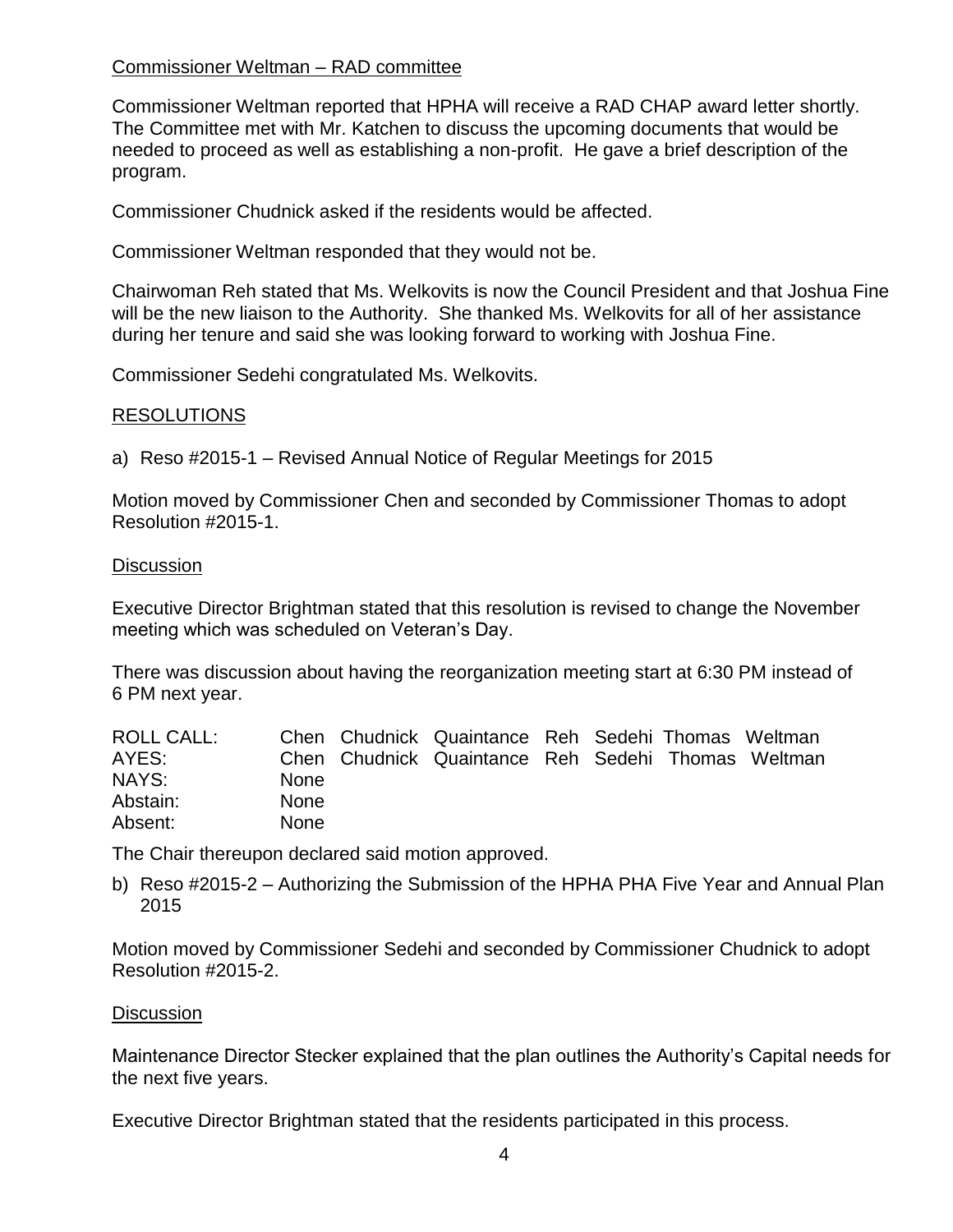# Commissioner Weltman – RAD committee

Commissioner Weltman reported that HPHA will receive a RAD CHAP award letter shortly. The Committee met with Mr. Katchen to discuss the upcoming documents that would be needed to proceed as well as establishing a non-profit. He gave a brief description of the program.

Commissioner Chudnick asked if the residents would be affected.

Commissioner Weltman responded that they would not be.

Chairwoman Reh stated that Ms. Welkovits is now the Council President and that Joshua Fine will be the new liaison to the Authority. She thanked Ms. Welkovits for all of her assistance during her tenure and said she was looking forward to working with Joshua Fine.

Commissioner Sedehi congratulated Ms. Welkovits.

# RESOLUTIONS

a) Reso #2015-1 – Revised Annual Notice of Regular Meetings for 2015

Motion moved by Commissioner Chen and seconded by Commissioner Thomas to adopt Resolution #2015-1.

## **Discussion**

Executive Director Brightman stated that this resolution is revised to change the November meeting which was scheduled on Veteran's Day.

There was discussion about having the reorganization meeting start at 6:30 PM instead of 6 PM next year.

| ROLL CALL: |             | Chen Chudnick Quaintance Reh Sedehi Thomas Weltman |  |  |
|------------|-------------|----------------------------------------------------|--|--|
| AYES:      |             | Chen Chudnick Quaintance Reh Sedehi Thomas Weltman |  |  |
| NAYS:      | <b>None</b> |                                                    |  |  |
| Abstain:   | <b>None</b> |                                                    |  |  |
| Absent:    | <b>None</b> |                                                    |  |  |

The Chair thereupon declared said motion approved.

b) Reso #2015-2 – Authorizing the Submission of the HPHA PHA Five Year and Annual Plan 2015

Motion moved by Commissioner Sedehi and seconded by Commissioner Chudnick to adopt Resolution #2015-2.

## **Discussion**

Maintenance Director Stecker explained that the plan outlines the Authority's Capital needs for the next five years.

Executive Director Brightman stated that the residents participated in this process.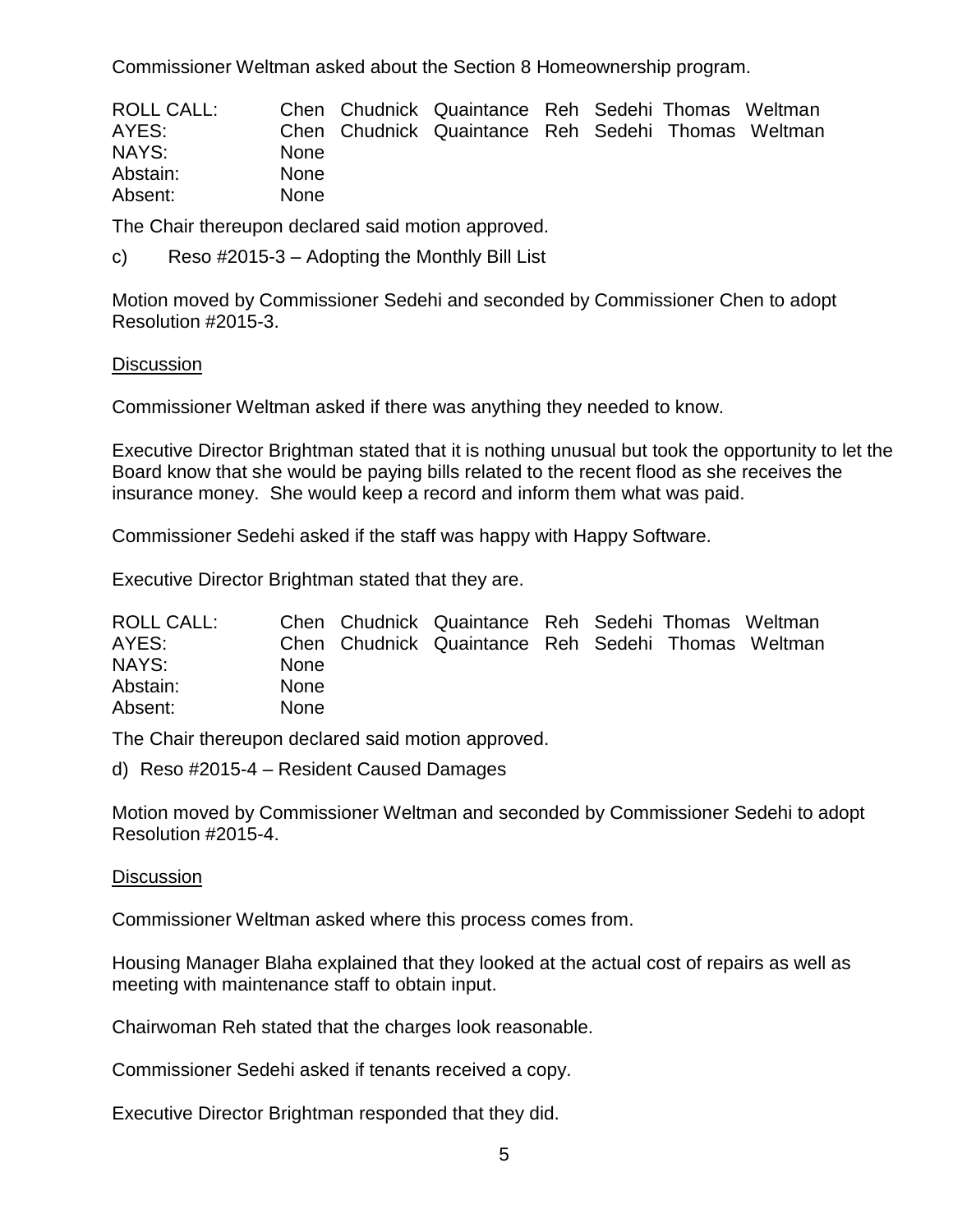Commissioner Weltman asked about the Section 8 Homeownership program.

| ROLL CALL: |             | Chen Chudnick Quaintance Reh Sedehi Thomas Weltman |  |  |
|------------|-------------|----------------------------------------------------|--|--|
| AYES:      |             | Chen Chudnick Quaintance Reh Sedehi Thomas Weltman |  |  |
| NAYS:      | <b>None</b> |                                                    |  |  |
| Abstain:   | <b>None</b> |                                                    |  |  |
| Absent:    | <b>None</b> |                                                    |  |  |

The Chair thereupon declared said motion approved.

c) Reso #2015-3 – Adopting the Monthly Bill List

Motion moved by Commissioner Sedehi and seconded by Commissioner Chen to adopt Resolution #2015-3.

#### **Discussion**

Commissioner Weltman asked if there was anything they needed to know.

Executive Director Brightman stated that it is nothing unusual but took the opportunity to let the Board know that she would be paying bills related to the recent flood as she receives the insurance money. She would keep a record and inform them what was paid.

Commissioner Sedehi asked if the staff was happy with Happy Software.

Executive Director Brightman stated that they are.

| ROLL CALL: |             | Chen Chudnick Quaintance Reh Sedehi Thomas Weltman |  |  |
|------------|-------------|----------------------------------------------------|--|--|
| AYES:      |             | Chen Chudnick Quaintance Reh Sedehi Thomas Weltman |  |  |
| NAYS:      | <b>None</b> |                                                    |  |  |
| Abstain:   | <b>None</b> |                                                    |  |  |
| Absent:    | <b>None</b> |                                                    |  |  |

The Chair thereupon declared said motion approved.

d) Reso #2015-4 – Resident Caused Damages

Motion moved by Commissioner Weltman and seconded by Commissioner Sedehi to adopt Resolution #2015-4.

#### **Discussion**

Commissioner Weltman asked where this process comes from.

Housing Manager Blaha explained that they looked at the actual cost of repairs as well as meeting with maintenance staff to obtain input.

Chairwoman Reh stated that the charges look reasonable.

Commissioner Sedehi asked if tenants received a copy.

Executive Director Brightman responded that they did.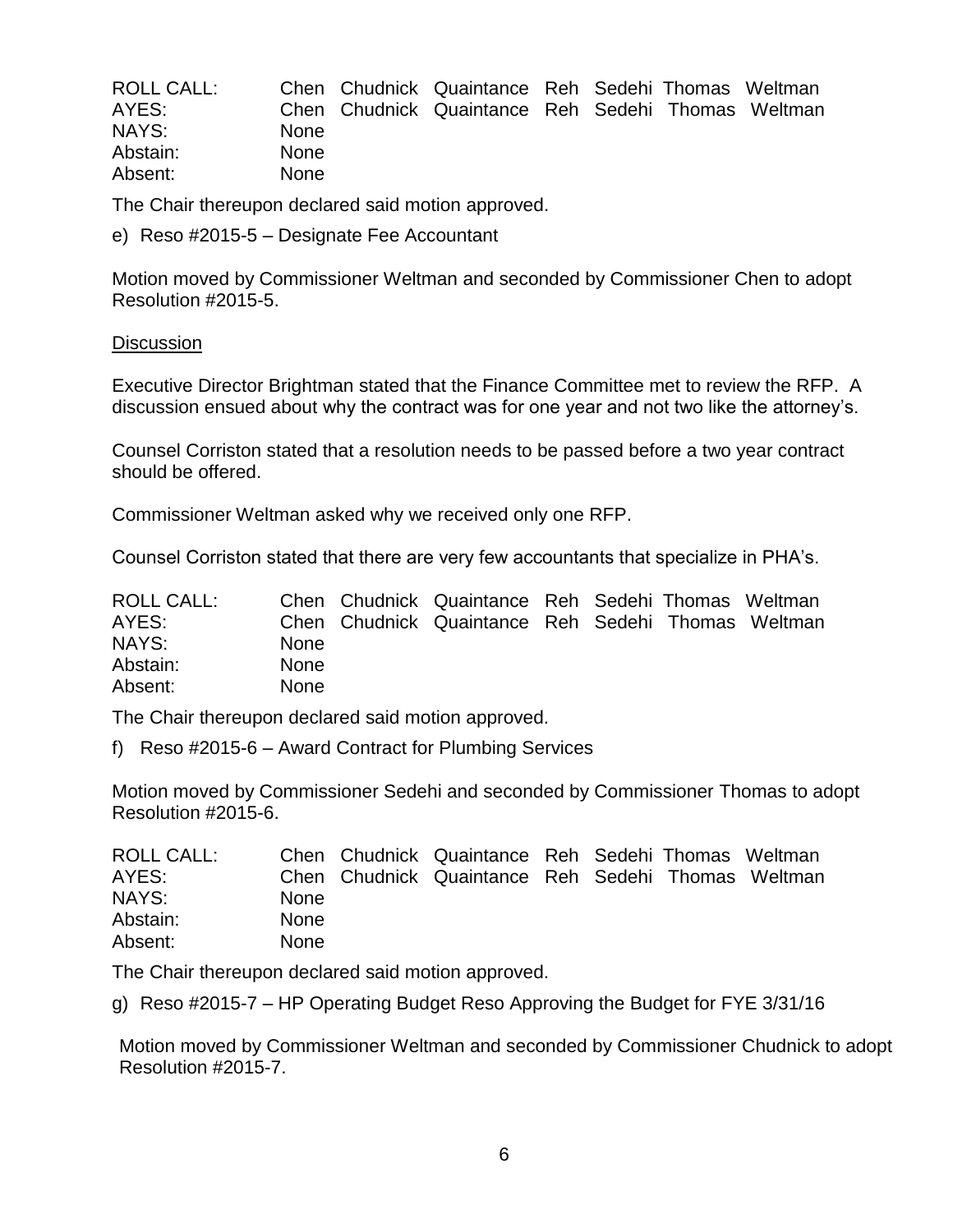ROLL CALL: Chen Chudnick Quaintance Reh Sedehi Thomas Weltman AYES: Chen Chudnick Quaintance Reh Sedehi Thomas Weltman NAYS: None Abstain: None Absent: None

The Chair thereupon declared said motion approved.

e) Reso #2015-5 – Designate Fee Accountant

Motion moved by Commissioner Weltman and seconded by Commissioner Chen to adopt Resolution #2015-5.

#### **Discussion**

Executive Director Brightman stated that the Finance Committee met to review the RFP. A discussion ensued about why the contract was for one year and not two like the attorney's.

Counsel Corriston stated that a resolution needs to be passed before a two year contract should be offered.

Commissioner Weltman asked why we received only one RFP.

Counsel Corriston stated that there are very few accountants that specialize in PHA's.

| ROLL CALL: |             | Chen Chudnick Quaintance Reh Sedehi Thomas Weltman |  |  |
|------------|-------------|----------------------------------------------------|--|--|
| AYES:      |             | Chen Chudnick Quaintance Reh Sedehi Thomas Weltman |  |  |
| NAYS:      | <b>None</b> |                                                    |  |  |
| Abstain:   | <b>None</b> |                                                    |  |  |
| Absent:    | <b>None</b> |                                                    |  |  |

The Chair thereupon declared said motion approved.

f) Reso #2015-6 – Award Contract for Plumbing Services

Motion moved by Commissioner Sedehi and seconded by Commissioner Thomas to adopt Resolution #2015-6.

| <b>ROLL CALL:</b> |             | Chen Chudnick Quaintance Reh Sedehi Thomas Weltman |  |  |
|-------------------|-------------|----------------------------------------------------|--|--|
| AYES:             |             | Chen Chudnick Quaintance Reh Sedehi Thomas Weltman |  |  |
| NAYS:             | <b>None</b> |                                                    |  |  |
| Abstain:          | <b>None</b> |                                                    |  |  |
| Absent:           | <b>None</b> |                                                    |  |  |

The Chair thereupon declared said motion approved.

g) Reso #2015-7 – HP Operating Budget Reso Approving the Budget for FYE 3/31/16

Motion moved by Commissioner Weltman and seconded by Commissioner Chudnick to adopt Resolution #2015-7.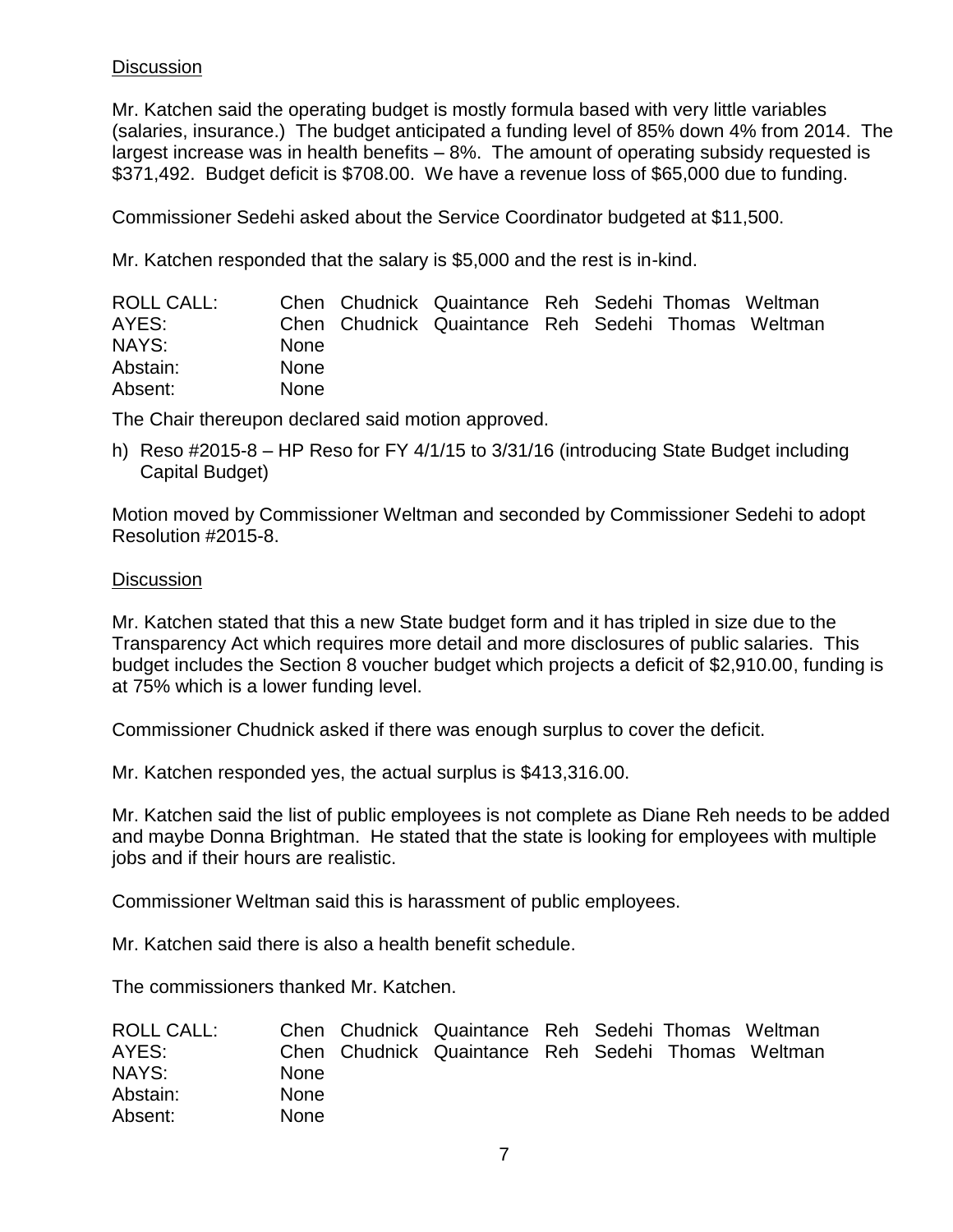# **Discussion**

Mr. Katchen said the operating budget is mostly formula based with very little variables (salaries, insurance.) The budget anticipated a funding level of 85% down 4% from 2014. The largest increase was in health benefits – 8%. The amount of operating subsidy requested is \$371,492. Budget deficit is \$708.00. We have a revenue loss of \$65,000 due to funding.

Commissioner Sedehi asked about the Service Coordinator budgeted at \$11,500.

Mr. Katchen responded that the salary is \$5,000 and the rest is in-kind.

| ROLL CALL: |             | Chen Chudnick Quaintance Reh Sedehi Thomas Weltman |  |  |
|------------|-------------|----------------------------------------------------|--|--|
| AYES:      |             | Chen Chudnick Quaintance Reh Sedehi Thomas Weltman |  |  |
| NAYS:      | <b>None</b> |                                                    |  |  |
| Abstain:   | <b>None</b> |                                                    |  |  |
| Absent:    | <b>None</b> |                                                    |  |  |

The Chair thereupon declared said motion approved.

h) Reso #2015-8 – HP Reso for FY 4/1/15 to 3/31/16 (introducing State Budget including Capital Budget)

Motion moved by Commissioner Weltman and seconded by Commissioner Sedehi to adopt Resolution #2015-8.

## **Discussion**

Mr. Katchen stated that this a new State budget form and it has tripled in size due to the Transparency Act which requires more detail and more disclosures of public salaries. This budget includes the Section 8 voucher budget which projects a deficit of \$2,910.00, funding is at 75% which is a lower funding level.

Commissioner Chudnick asked if there was enough surplus to cover the deficit.

Mr. Katchen responded yes, the actual surplus is \$413,316.00.

Mr. Katchen said the list of public employees is not complete as Diane Reh needs to be added and maybe Donna Brightman. He stated that the state is looking for employees with multiple jobs and if their hours are realistic.

Commissioner Weltman said this is harassment of public employees.

Mr. Katchen said there is also a health benefit schedule.

The commissioners thanked Mr. Katchen.

| ROLL CALL: |             | Chen Chudnick Quaintance Reh Sedehi Thomas Weltman |  |  |
|------------|-------------|----------------------------------------------------|--|--|
| AYES:      |             | Chen Chudnick Quaintance Reh Sedehi Thomas Weltman |  |  |
| NAYS:      | <b>None</b> |                                                    |  |  |
| Abstain:   | <b>None</b> |                                                    |  |  |
| Absent:    | <b>None</b> |                                                    |  |  |